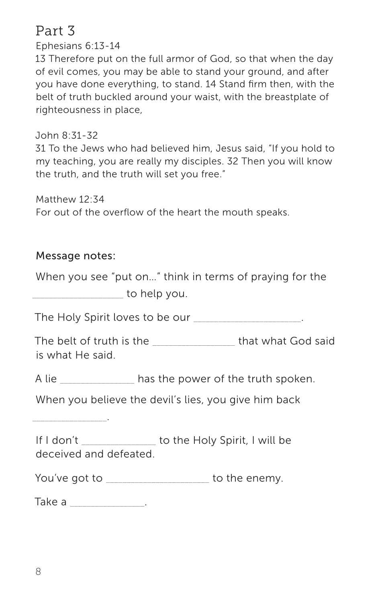# Part 3

Ephesians 6:13-14

13 Therefore put on the full armor of God, so that when the day of evil comes, you may be able to stand your ground, and after you have done everything, to stand. 14 Stand firm then, with the belt of truth buckled around your waist, with the breastplate of righteousness in place,

John 8:31-32

31 To the Jews who had believed him, Jesus said, "If you hold to my teaching, you are really my disciples. 32 Then you will know the truth, and the truth will set you free."

Matthew 12:34

For out of the overflow of the heart the mouth speaks.

# Message notes:

\_\_\_\_\_\_\_\_\_\_\_\_\_\_\_\_\_\_.

When you see "put on…" think in terms of praying for the  $\sim$  to help you.

The Holy Spirit loves to be our **The Holy Spirit loves** to be our

The belt of truth is the \_\_\_\_\_\_\_\_\_\_\_\_\_\_\_\_\_\_\_\_ that what God said is what He said.

A lie \_\_\_\_\_\_\_\_\_\_\_\_\_\_\_\_\_\_ has the power of the truth spoken.

When you believe the devil's lies, you give him back

If I don't \_\_\_\_\_\_\_\_\_\_\_\_\_\_\_\_\_\_ to the Holy Spirit, I will be deceived and defeated.

You've got to \_\_\_\_\_\_\_\_\_\_\_\_\_\_\_\_\_\_\_\_\_\_ to the enemy.

Take a **a** setting the setting  $\mathbf{z}$  and  $\mathbf{z}$  and  $\mathbf{z}$  and  $\mathbf{z}$  and  $\mathbf{z}$  and  $\mathbf{z}$  are  $\mathbf{z}$  and  $\mathbf{z}$  and  $\mathbf{z}$  are  $\mathbf{z}$  and  $\mathbf{z}$  are  $\mathbf{z}$  and  $\mathbf{z}$  are  $\mathbf{z}$  and  $\mathbf{z}$